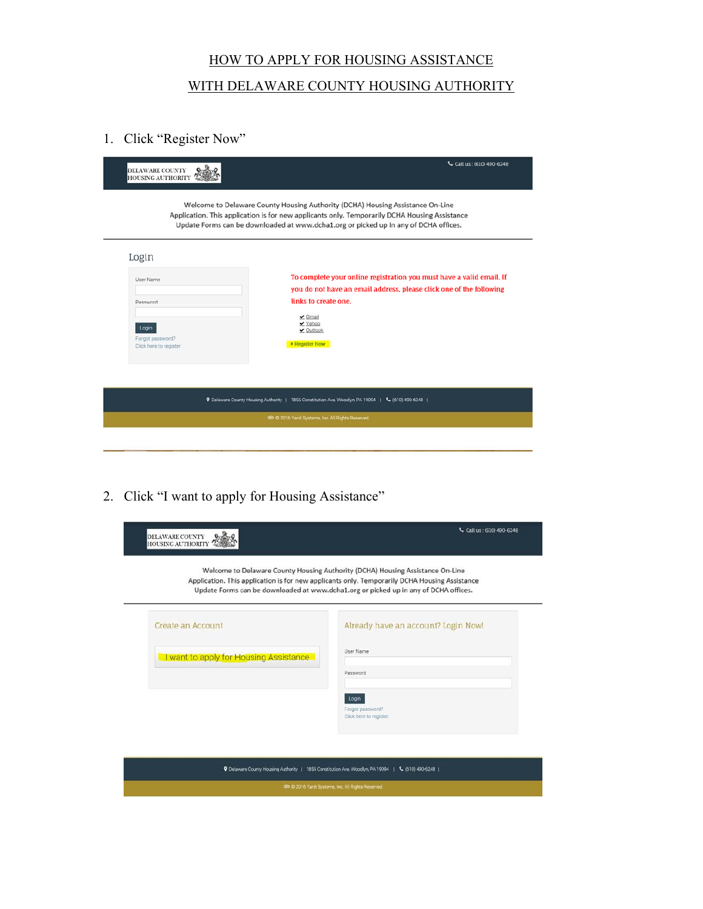## HOW TO APPLY FOR HOUSING ASSISTANCE WITH DELAWARE COUNTY HOUSING AUTHORITY

1. Click "Register Now"

| DELAWARE COUNTY<br><b>HOUSING AUTHORITY</b>         | Call us: (610) 490-6248<br>Welcome to Delaware County Housing Authority (DCHA) Housing Assistance On-Line<br>Application. This application is for new applicants only. Temporarily DCHA Housing Assistance<br>Update Forms can be downloaded at www.dcha1.org or picked up in any of DCHA offices. |
|-----------------------------------------------------|----------------------------------------------------------------------------------------------------------------------------------------------------------------------------------------------------------------------------------------------------------------------------------------------------|
| Login                                               |                                                                                                                                                                                                                                                                                                    |
| User Name                                           | To complete your online registration you must have a valid email. If                                                                                                                                                                                                                               |
| Password                                            | you do not have an email address, please click one of the following<br>links to create one.                                                                                                                                                                                                        |
| Login<br>Forgot password?<br>Click here to register | $\vee$ Gmail<br>✔ Yahoo<br>$\vee$ Outlook<br><b>E</b> Register Now                                                                                                                                                                                                                                 |
|                                                     |                                                                                                                                                                                                                                                                                                    |
|                                                     | P Delaware County Housing Authority   1855 Constitution Ave. Woodlyn, PA 19094  <br>$C$ (610) 490-6248                                                                                                                                                                                             |
|                                                     | tikt @ 2016 Yardi Systems, Inc. All Rights Reserved.                                                                                                                                                                                                                                               |

2. Click "I want to apply for Housing Assistance"

|                                                             | Welcome to Delaware County Housing Authority (DCHA) Housing Assistance On-Line<br>Application. This application is for new applicants only. Temporarily DCHA Housing Assistance<br>Update Forms can be downloaded at www.dcha1.org or picked up in any of DCHA offices. |
|-------------------------------------------------------------|-------------------------------------------------------------------------------------------------------------------------------------------------------------------------------------------------------------------------------------------------------------------------|
| Create an Account<br>I want to apply for Housing Assistance | Already have an account? Login Now!<br>User Name<br>Password                                                                                                                                                                                                            |
|                                                             | Login<br>Forgot password?<br>Click here to register                                                                                                                                                                                                                     |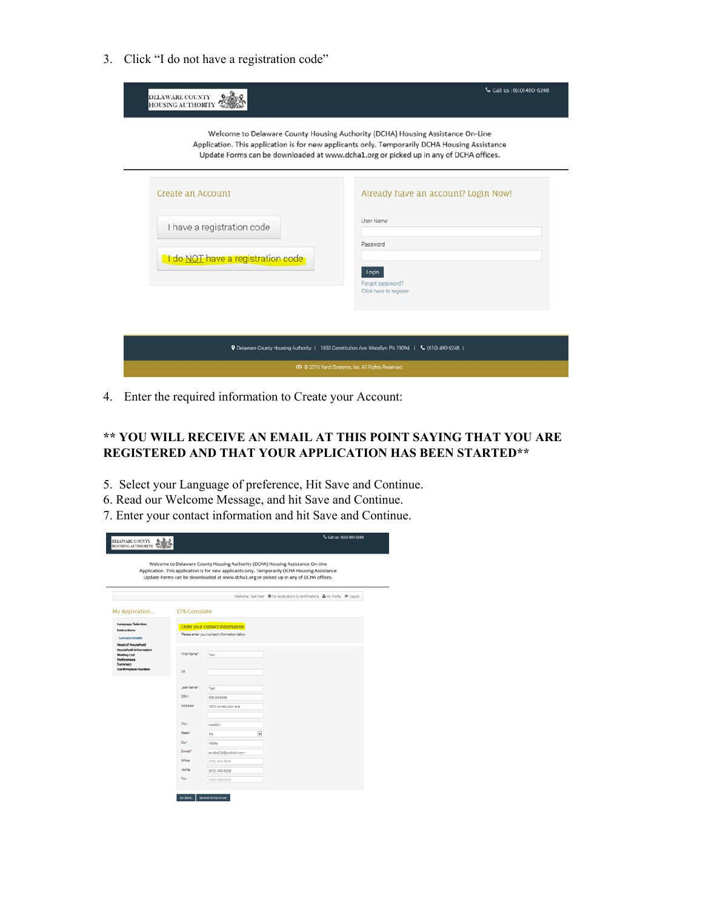3. Click "I do not have a registration code"

| DELAWARE COUNTY<br>HOUSING AUTHORITY                                           | Welcome to Delaware County Housing Authority (DCHA) Housing Assistance On-Line<br>Application. This application is for new applicants only. Temporarily DCHA Housing Assistance<br>Update Forms can be downloaded at www.dcha1.org or picked up in any of DCHA offices. |
|--------------------------------------------------------------------------------|-------------------------------------------------------------------------------------------------------------------------------------------------------------------------------------------------------------------------------------------------------------------------|
| <b>Create an Account</b>                                                       | Already have an account? Login Now!                                                                                                                                                                                                                                     |
| I have a registration code                                                     | User Name                                                                                                                                                                                                                                                               |
| I do NOT have a registration code                                              | Password<br>Login<br>Forgot password?<br>Click here to register                                                                                                                                                                                                         |
| P Delaware County Housing Authority   1855 Constitution Ave. Woodlyn, PA 19094 | $C$ (610) 490-6248                                                                                                                                                                                                                                                      |

4. Enter the required information to Create your Account:

## **\*\* YOU WILL RECEIVE AN EMAIL AT THIS POINT SAYING THAT YOU ARE REGISTERED AND THAT YOUR APPLICATION HAS BEEN STARTED\*\***

- 5. Select your Language of preference, Hit Save and Continue.
- 6. Read our Welcome Message, and hit Save and Continue.
- 7. Enter your contact information and hit Save and Continue.

| DELAWARE COUNTY Q                                                                                           |                    |                                                                                |                         | Welcome to Delaware County Housing Authority (DCHA) Housing Assistance On-Line                                                                                                        | L Call us : 05101-490-6248 |
|-------------------------------------------------------------------------------------------------------------|--------------------|--------------------------------------------------------------------------------|-------------------------|---------------------------------------------------------------------------------------------------------------------------------------------------------------------------------------|----------------------------|
|                                                                                                             |                    |                                                                                |                         | Application. This application is for new applicants only. Temporarily DCHA Housing Assistance<br>Update Forms can be downloaded at www.dcha1.org or picked up in any of DCHA offices. |                            |
|                                                                                                             |                    |                                                                                |                         | Welcome, Test Test @ My Applications & Dertifications & My Profile @ Logout                                                                                                           |                            |
| My Application                                                                                              | 13% Complete       |                                                                                |                         |                                                                                                                                                                                       |                            |
| Language Selection<br>Instructions<br><b>Contact Details</b><br>Head of Household                           |                    | Enter your contact information<br>Please enter your contact information below. |                         |                                                                                                                                                                                       |                            |
| Household Information<br><b>Waiting List</b><br><b>Preferences</b><br>Summary<br><b>Confirmation Humber</b> | First Name*        | Test                                                                           |                         |                                                                                                                                                                                       |                            |
|                                                                                                             | M                  |                                                                                |                         |                                                                                                                                                                                       |                            |
|                                                                                                             | Last Name*         | Test                                                                           |                         |                                                                                                                                                                                       |                            |
|                                                                                                             | SSN <sup>+</sup>   | 999-99-9999                                                                    |                         |                                                                                                                                                                                       |                            |
|                                                                                                             | Address*           | 1855 constitution ave                                                          |                         |                                                                                                                                                                                       |                            |
|                                                                                                             | City <sup>4</sup>  | weedlyn                                                                        |                         |                                                                                                                                                                                       |                            |
|                                                                                                             | State <sup>+</sup> | Pá                                                                             | $\overline{\mathbf{v}}$ |                                                                                                                                                                                       |                            |
|                                                                                                             | Zio <sup>n</sup>   | 19094                                                                          |                         |                                                                                                                                                                                       |                            |
|                                                                                                             | Eimailt            | studiot@b@outlook.com                                                          |                         |                                                                                                                                                                                       |                            |
|                                                                                                             | Office             | (655) 655-5555                                                                 |                         |                                                                                                                                                                                       |                            |
|                                                                                                             | <b>Home</b>        | (610) 490-6208                                                                 |                         |                                                                                                                                                                                       |                            |
|                                                                                                             | Fax                | (555) 555-5555                                                                 |                         |                                                                                                                                                                                       |                            |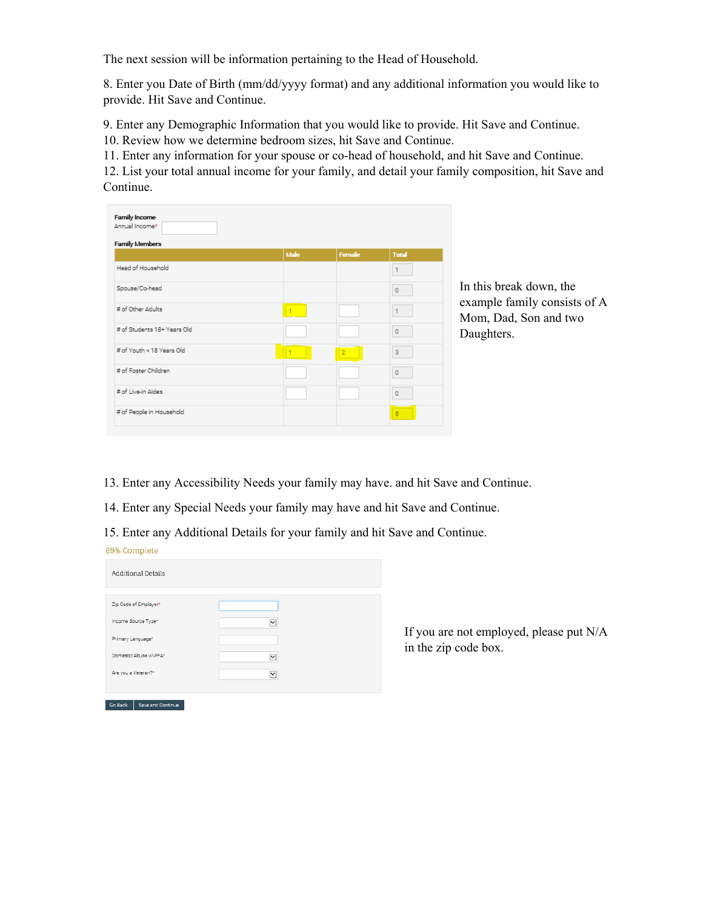The next session will be information pertaining to the Head of Household.

8. Enter you Date of Birth (mm/dd/yyyy format) and any additional information you would like to provide. Hit Save and Continue.

9. Enter any Demographic Information that you would like to provide. Hit Save and Continue.

10. Review how we determine bedroom sizes, hit Save and Continue.

11. Enter any information for your spouse or co-head of household, and hit Save and Continue.

12. List your total annual income for your family, and detail your family composition, hit Save and Continue.

| Annual Income*<br><b>Family Members</b> |              |                |                                  |
|-----------------------------------------|--------------|----------------|----------------------------------|
|                                         | Male         | Female         | <b>Total</b>                     |
| Head of Household                       |              |                | $\mathbbm{1}$                    |
| Spouse/Co-head                          |              |                | $\circ$                          |
| # of Other Adults                       | $\mathbf{1}$ |                | $\mathbf{1}$                     |
| # of Students 18+ Years Old             |              |                | $\Box$                           |
| # of Youth < 18 Years Old               |              | $\overline{2}$ | $\overline{3}$                   |
| # of Foster Children                    |              |                | $\begin{array}{c} 0 \end{array}$ |
| # of Live-in Aides                      |              |                | $\Omega$                         |
| # of People in Household                |              |                | $\overline{5}$                   |

In this break down, the example family consists of A Mom, Dad, Son and two Daughters.

13. Enter any Accessibility Needs your family may have. and hit Save and Continue.

14. Enter any Special Needs your family may have and hit Save and Continue.

15. Enter any Additional Details for your family and hit Save and Continue.

| .                              |                      |
|--------------------------------|----------------------|
| Additional Details             |                      |
|                                |                      |
| Zip Code of Employer*          |                      |
| Income Source Type*            | $\blacktriangledown$ |
| Primary Language*              |                      |
| Domestic Abuse w\PFA*          | $\blacktriangledown$ |
| Are you a Veteran?*            | $\vee$               |
|                                |                      |
|                                |                      |
| Save and Continue.<br>Go Back. |                      |

69% Complete

If you are not employed, please put N/A in the zip code box.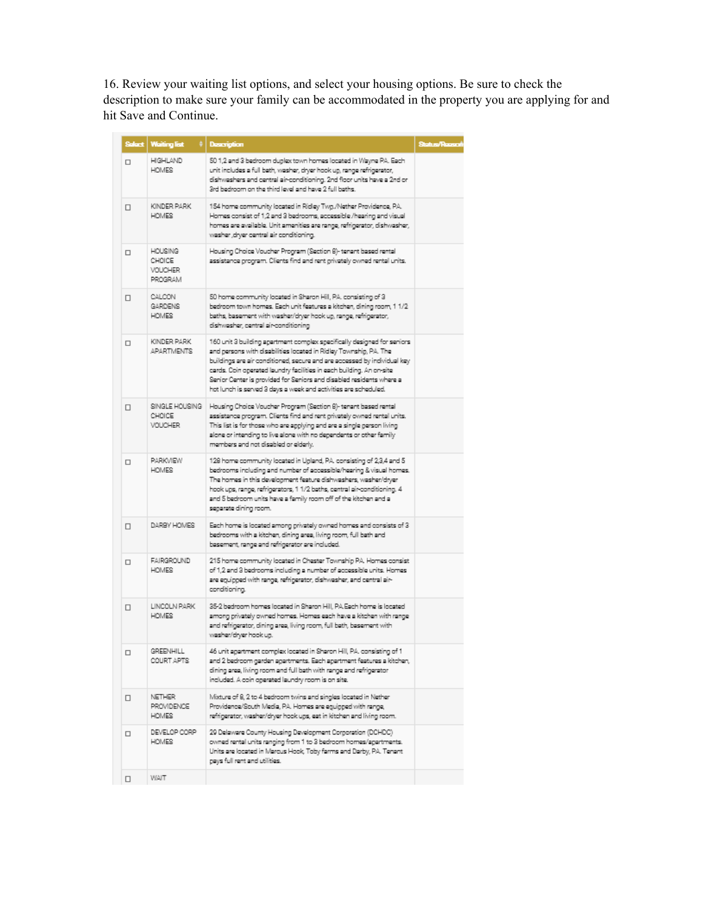16. Review your waiting list options, and select your housing options. Be sure to check the description to make sure your family can be accommodated in the property you are applying for and hit Save and Continue.

| Select | <b>Waiting list</b>                                | Description                                                                                                                                                                                                                                                                                                                                                                                                                                  | Status/Raasci |
|--------|----------------------------------------------------|----------------------------------------------------------------------------------------------------------------------------------------------------------------------------------------------------------------------------------------------------------------------------------------------------------------------------------------------------------------------------------------------------------------------------------------------|---------------|
| $\Box$ | <b>HIGHLAND</b><br><b>HOMES</b>                    | 50 1,2 and 3 bedroom duplex town homes located in Wayne PA. Each<br>unit includes a full beth, washer, dryer hook up, range refrigerator,<br>dishwashers and central air-conditioning. 2nd floor units have a 2nd or<br>3rd bedroom on the third level and have 2 full beths.                                                                                                                                                                |               |
| $\Box$ | KINDER PARK<br><b>HOMES</b>                        | 154 home community located in Ridley Twg./Nether Providence, PA.<br>Homes consist of 1,2 and 3 badrooms, accessible /hearing and visual<br>homes are available. Unit amenities are range, refrigerator, dishwasher,<br>washer , dryer central air conditioning.                                                                                                                                                                              |               |
| $\Box$ | <b>BING</b><br>CHOICE<br><b>VOUCHER</b><br>PROGRAM | Housing Choice Voucher Program (Section B)- tenant based rental<br>assistance program. Clients find and rent privately owned rental units.                                                                                                                                                                                                                                                                                                   |               |
| □      | CALCON<br>GARDENS<br><b>HOMES</b>                  | 50 home community located in Sharon Hill, PA, consisting of 3<br>bedroom town homes. Each unit features a kitchen, dining room, 1 1/2<br>baths, basement with washer/dryer hook up, range, refrigerator,<br>dishwasher, central air-conditioning                                                                                                                                                                                             |               |
| $\Box$ | KINDER PARK<br><b>APARTMENTS</b>                   | 160 unit 3 building apartment complex specifically designed for seniors.<br>and persons with disabilities located in Ridley Township, PA. The<br>buildings are air conditioned, secure and are accessed by individual key<br>cards. Coin operated laundry facilities in each building. An on-site<br>Senior Center is provided for Seniors and disabled residents where a<br>hot lunch is served 3 days a week and activities are scheduled. |               |
| □      | SINGLE HOUSING<br>CHOICE<br><b>VOUCHER</b>         | Housing Choice Voucher Program (Section 8)-tenant based rental<br>assistance program. Clients find and rent privately owned rental units.<br>This list is for those who are applying and are a single person living<br>alone or intending to live alone with no dependents or other family<br>mambers and not disabled or elderly.                                                                                                           |               |
| $\Box$ | <b>PARKVIEW</b><br><b>HOMES</b>                    | 128 home community located in Upland, PA, consisting of 2,3,4 and 5<br>bedrooms including and number of accessible/hearing & visual homes.<br>The homes in this development feature dishweshers, wesher/dryer<br>hook ups, range, refrigerators, 1 1/2 beths, central air-conditioning. 4<br>and 5 bedroom units have a family room off of the kitchen and a<br>separate dining room.                                                        |               |
| $\Box$ | DARBY HOMES                                        | Each home is located among privately owned homes and consists of 3<br>bedrooms with a kitchan, dining area, living room, full bath and<br>basement, range and refrigerator are included.                                                                                                                                                                                                                                                     |               |
| $\Box$ | FAIRGROUND<br><b>HOMES</b>                         | 215 home community located in Chester Township PA. Homes consist<br>of 1,2 and 3 badrooms including a number of accessible units. Homes<br>are equipped with range, refrigerator, dishwasher, and central air-<br>conditioning.                                                                                                                                                                                                              |               |
| □      | LINCOLN PARK<br><b>HOMES</b>                       | 35-2 bedroom homes located in Sharon Hill, PA Each home is located<br>among privately owned homes. Homes each have a kitchen with range<br>and refrigerator, dining area, living room, full bath, basement with<br>washar/dryer hook up.                                                                                                                                                                                                     |               |
| □      | GREENHILL<br>COURT APTS                            | 46 unit apartment complex located in Sharon Hill, PA, consisting of 1<br>and 2 bedroom garden apartments. Each apartment features a kitchen,<br>dining area, living room and full bath with range and refrigerator<br>included. A coin operated laundry room is on site.                                                                                                                                                                     |               |
| □      | <b>NETHER</b><br>PROVIDENCE<br><b>HOMES</b>        | Mixture of 8, 2 to 4 bedroom twins and singles located in Nether<br>Providence/South Media, PA. Homes are equipped with range,<br>refrigerator, washer/dryer hook ups, eat in kitchen and living room.                                                                                                                                                                                                                                       |               |
| □      | DEVELOP CORP<br><b>HOMES</b>                       | 29 Delaware County Housing Development Corporation (DCHDC)<br>owned rental units ranging from 1 to 3 bedroom homes/agertments.<br>Units are located in Marcus Hook, Toby farms and Darby, PA. Tenant<br>gays full rant and utilities.                                                                                                                                                                                                        |               |
| □      | WAIT                                               |                                                                                                                                                                                                                                                                                                                                                                                                                                              |               |